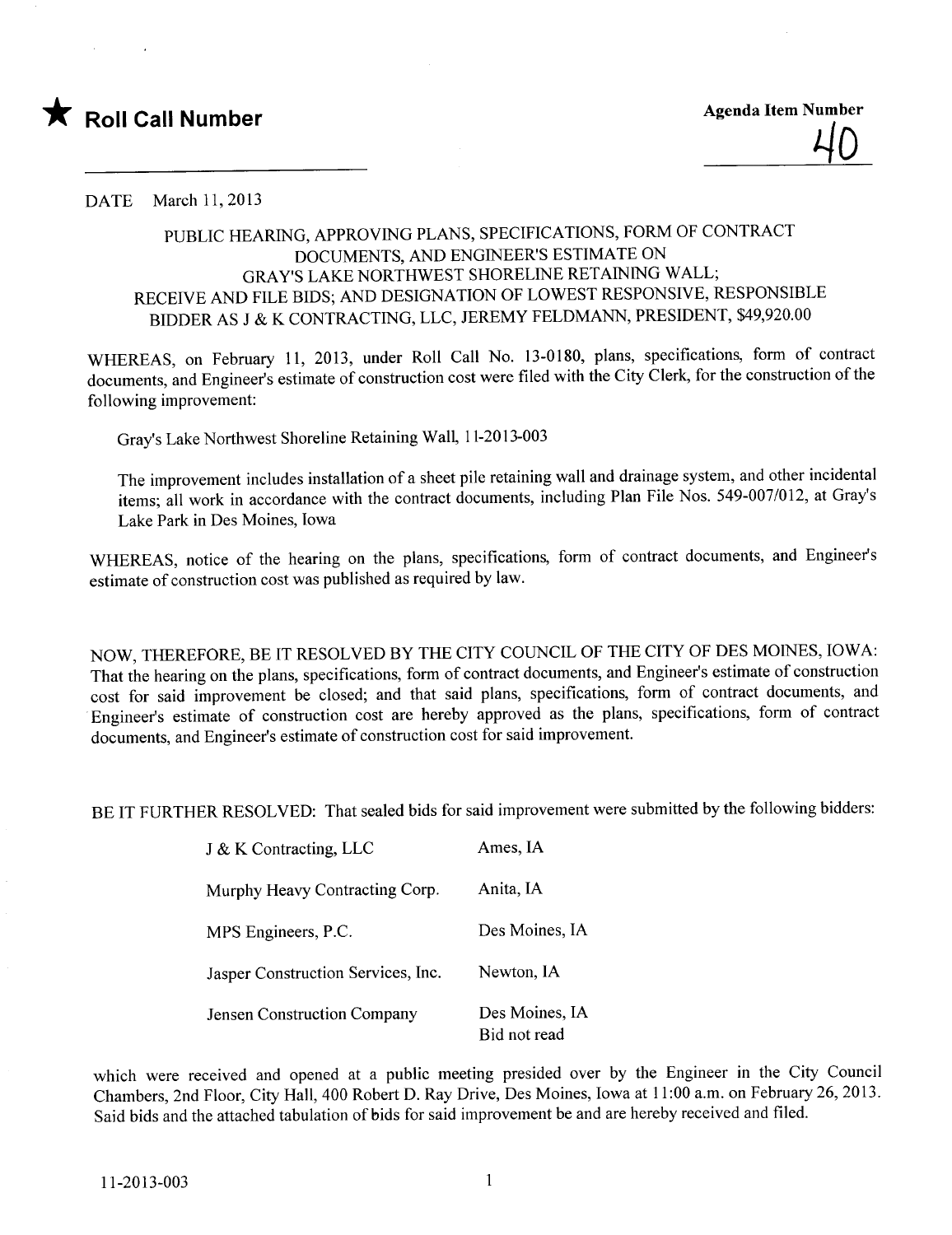

DATE March 11, 2013

## PUBLIC HEARING, APPROVING PLANS, SPECIFICATIONS, FORM OF CONTRACT DOCUMENTS, AND ENGINEER'S ESTIMATE ON GRAY'S LAKE NORTHWEST SHORELINE RETAINING WALL; RECEIVE AND FILE BIDS; AND DESIGNATION OF LOWEST RESPONSIVE, RESPONSIBLE BIDDER AS J & K CONTRACTING, LLC, JEREMY FELDMANN, PRESIDENT, \$49,920.00

WHEREAS, on February 11, 2013, under Roll Call No. 13-0180, plans, specifications, form of contract documents, and Engineer's estimate of construction cost were fied with the City Clerk, for the construction of the following improvement:

Gray's Lake Northwest Shoreline Retaining Wall, 11-2013-003

The improvement includes installation of a sheet pile retaining wall and drainage system, and other incidental items; all work in accordance with the contract documents, including Plan File Nos. 549-007/012, at Gray's Lake Park in Des Moines, Iowa

WHEREAS, notice of the hearing on the plans, specifications, form of contract documents, and Engineer's estimate of construction cost was published as required by law.

NOW, THEREFORE, BE IT RESOLVED BY THE CITY COUNCIL OF THE CITY OF DES MOINES, IOWA: That the hearing on the plans, specifications, form of contract documents, and Engineer's estimate of construction cost for said improvement be closed; and that said plans, specifications, form of contract documents, and Engineer's estimate of construction cost are hereby approved as the plans, specifications, form of contract documents, and Engineer's estimate of construction cost for said improvement.

BE IT FURTHER RESOLVED: That sealed bids for said improvement were submitted by the following bidders:

| J & K Contracting, LLC             | Ames, IA                       |
|------------------------------------|--------------------------------|
| Murphy Heavy Contracting Corp.     | Anita, IA                      |
| MPS Engineers, P.C.                | Des Moines, IA                 |
| Jasper Construction Services, Inc. | Newton, IA                     |
| Jensen Construction Company        | Des Moines, IA<br>Bid not read |

which were received and opened at a public meeting presided over by the Engineer in the City Council Chambers, 2nd Floor, City Hall, 400 Robert D. Ray Drive, Des Moines, Iowa at 11:00 a.m. on February 26,2013. Said bids and the attached tabulation of bids for said improvement be and are hereby received and fied.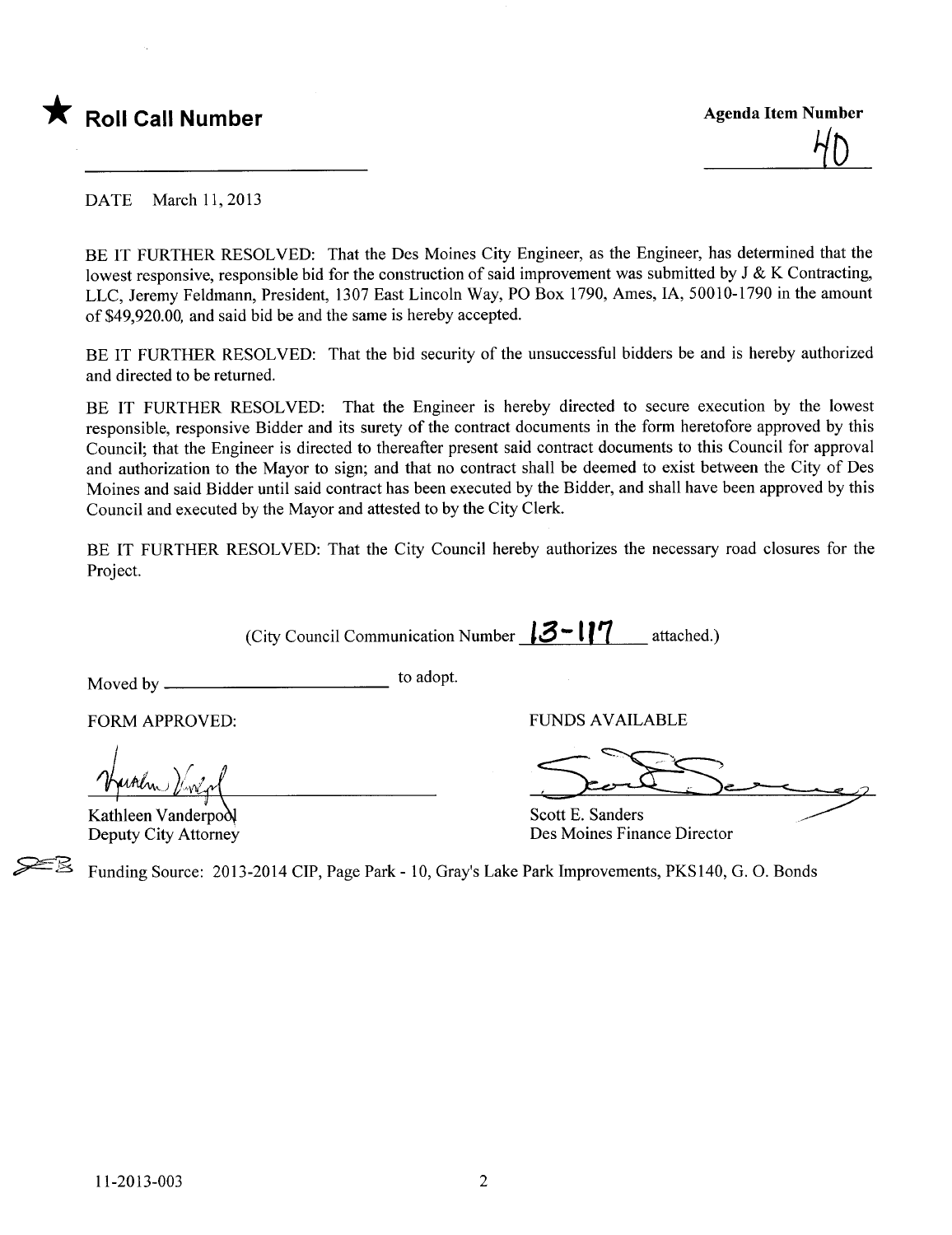

 $\overline{\mathbf{X}}$  Roll Call Number Agenda Item Number Agenda Item Number  $\mathcal{H}_{\mathbf{D}}$ 

DATE March 11, 2013

BE IT FURTHER RESOLVED: That the Des Moines City Engineer, as the Engineer, has determined that the lowest responsive, responsible bid for the construction of said improvement was submitted by J & K Contracting, LLC, Jeremy Feldmann, President, 1307 East Lincoln Way, PO Box 1790, Ames, lA, 50010-1790 in the amount of \$49,920.00, and said bid be and the same is hereby accepted.

BE IT FURTHER RESOLVED: That the bid security of the unsuccessful bidders be and is hereby authorized and directed to be returned.

BE IT FURTHER RESOLVED: That the Engineer is hereby directed to secure execution by the lowest responsible, responsive Bidder and its surety of the contract documents in the form heretofore approved by this Council; that the Engineer is directed to thereafter present said contract documents to this Council for approval and authorization to the Mayor to sign; and that no contract shall be deemed to exist between the City of Des Moines and said Bidder until said contract has been executed by the Bidder, and shall have been approved by this Council and executed by the Mayor and attested to by the City Clerk.

BE IT FURTHER RESOLVED: That the City Council hereby authorizes the necessary road closures for the Project.

(City Council Communication Number  $18 - 17$  attached.)

Moved by to adopt.

Kathleen Vanderpo Deputy City Attorney

c:E,

FORM APPROVED: THE RESERVED OF THE RESERVED OF THE RESERVED OF THE RESERVED OF THE RESERVED OF THE RESERVED OF THE RESERVED OF THE RESERVED OF THE RESERVED OF THE RESERVED OF THE RESERVED OF THE RESERVED OF THE RESERVED OF

VINDS AVAILABLE

Scott E. Sanders Des Moines Finance Director

Funding Source: 2013-2014 CIP, Page Park - 10, Gray's Lake Park Improvements, PKS140, G. O. Bonds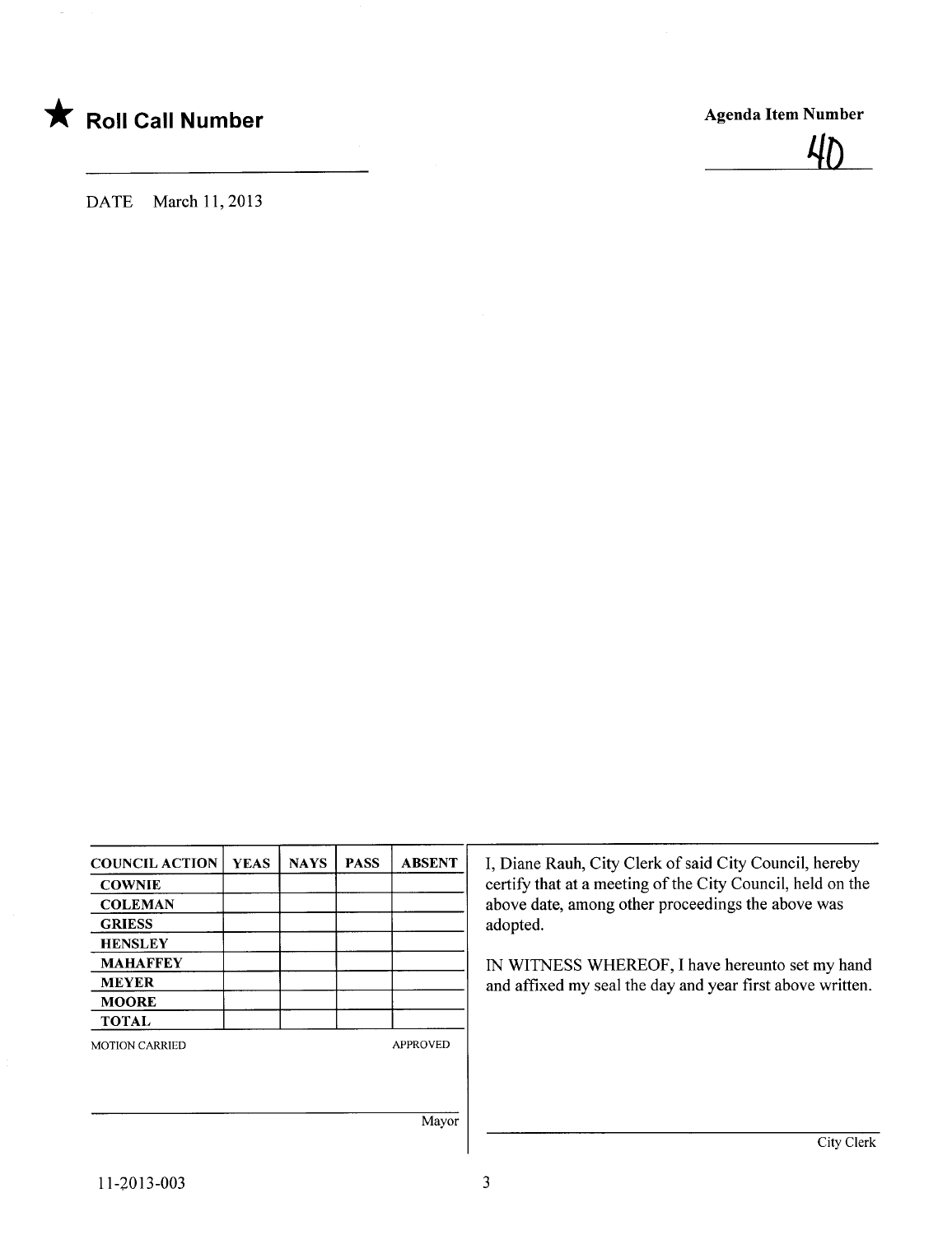

DATE March 11, 2013

| <b>COUNCIL ACTION</b> | <b>YEAS</b> | <b>NAYS</b> | <b>PASS</b> | <b>ABSENT</b>   |
|-----------------------|-------------|-------------|-------------|-----------------|
| <b>COWNIE</b>         |             |             |             |                 |
| <b>COLEMAN</b>        |             |             |             |                 |
| <b>GRIESS</b>         |             |             |             |                 |
| <b>HENSLEY</b>        |             |             |             |                 |
| <b>MAHAFFEY</b>       |             |             |             |                 |
| <b>MEYER</b>          |             |             |             |                 |
| <b>MOORE</b>          |             |             |             |                 |
| <b>TOTAL</b>          |             |             |             |                 |
| <b>MOTION CARRIED</b> |             |             |             | <b>APPROVED</b> |
|                       |             |             |             | Mayor           |

I, Diane Rauh, City Clerk of said City Council, hereby certify that at a meeting of the City Council, held on the above date, among other proceedings the above was adopted.

IN WITNESS WHEREOF, I have hereunto set my hand and affixed my seal the day and year first above written.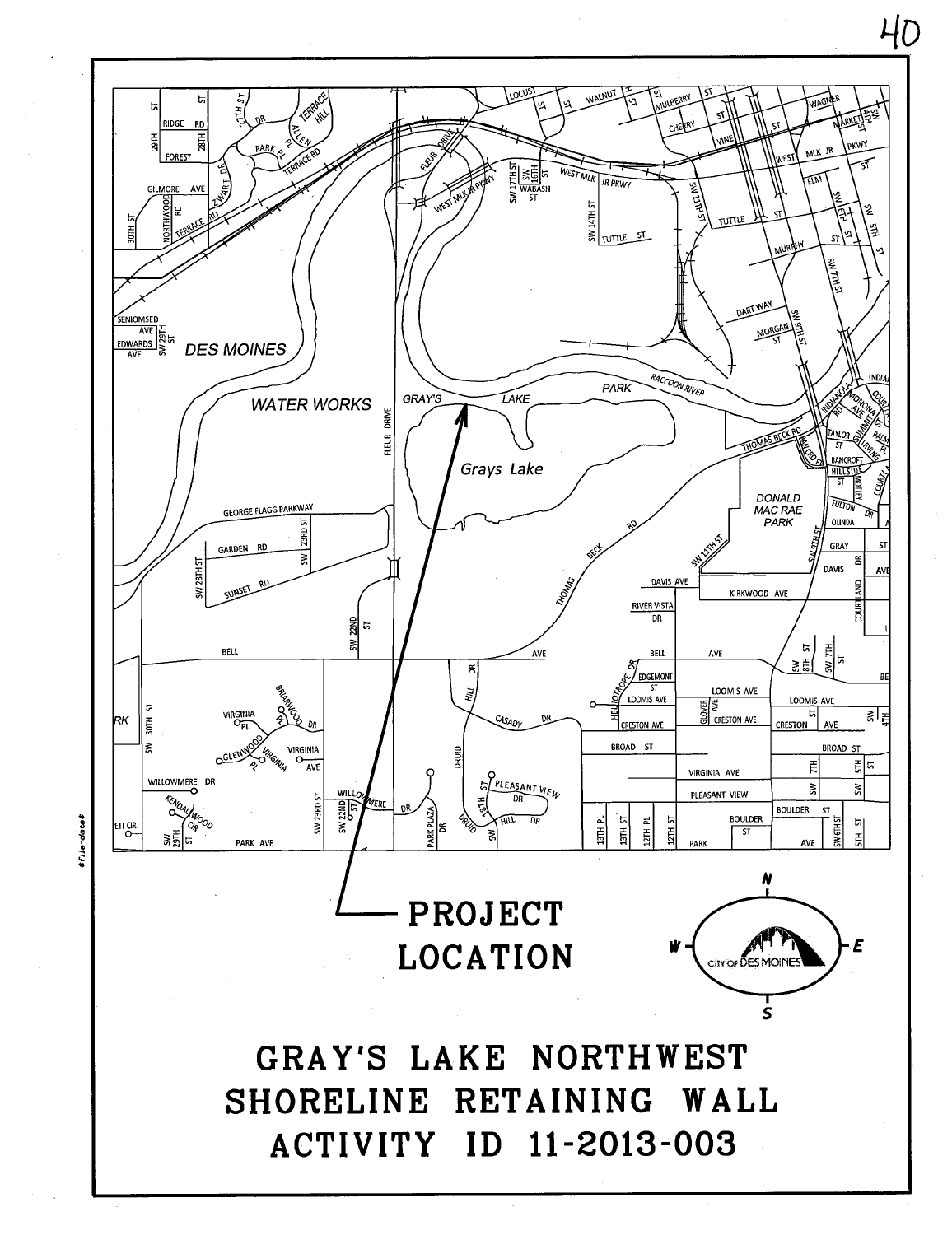

 $40$ 

File-date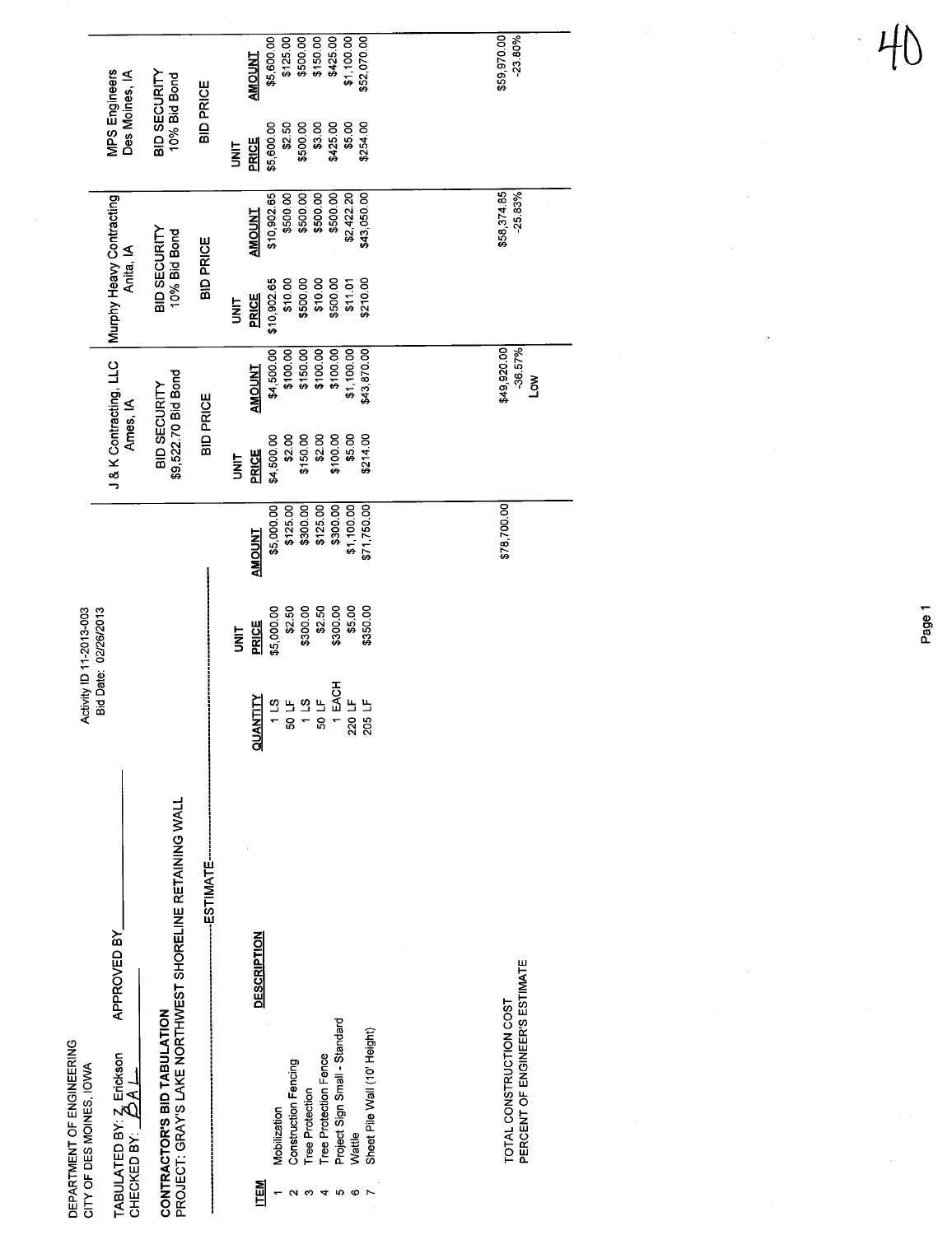| DEPARTMENT OF ENGINEERING<br>CITY OF DES MOINES, IOWA                                                                           |                                                         |                                                      | Activity ID 11-2013-003                              |                                                               |                                                                 |                                                     |                                                                   |                                                      |                                                                 |                                                     |
|---------------------------------------------------------------------------------------------------------------------------------|---------------------------------------------------------|------------------------------------------------------|------------------------------------------------------|---------------------------------------------------------------|-----------------------------------------------------------------|-----------------------------------------------------|-------------------------------------------------------------------|------------------------------------------------------|-----------------------------------------------------------------|-----------------------------------------------------|
|                                                                                                                                 | APPROVED BY                                             |                                                      | Bid Date: 02/26/2013                                 |                                                               | J & K Contracting, LLC<br>Ames, IA                              |                                                     | Murphy Heavy Contracting<br>Anita, IA                             |                                                      | MPS Engineers<br>Des Moines, IA                                 |                                                     |
| CONTRACTOR'S BID TABULATION                                                                                                     | PROJECT: GRAY'S LAKE NORTHWEST SHORELINE RETAINING WALL |                                                      |                                                      |                                                               | \$9,522.70 Bid Bond<br>BID SECURITY                             |                                                     | <b>BID SECURITY</b><br>10% Bid Bond                               |                                                      | BID SECURITY<br>10% Bid Bond                                    |                                                     |
|                                                                                                                                 | -ESTIMATE-                                              |                                                      |                                                      |                                                               | <b>BID PRICE</b>                                                |                                                     | <b>BID PRICE</b>                                                  |                                                      | <b>BID PRICE</b>                                                |                                                     |
| <b>Construction Fencing</b><br>Mobilization<br>ITEM<br>T                                                                        | <b>DESCRIPTION</b>                                      | QUANTITY<br>11.5                                     | \$2.50<br>\$5,000.00<br><b>PRICE</b><br><b>SINT</b>  | \$5,000.00<br>\$125.00<br><b>AMOUNT</b>                       | \$2.00<br>\$150.00<br>\$4,500.00<br><b>PRICE</b><br><b>UNIT</b> | \$4,500.00<br>\$100.00<br>\$150.00<br><b>AMOUNT</b> | \$500.00<br>\$10,902.65<br>\$10.00<br><b>PRICE</b><br><b>SINT</b> | \$500.00<br>\$500.00<br>\$10,902.65<br><b>AMOUNT</b> | \$2.50<br>\$500.00<br>\$5,600.00<br><b>PRICE</b><br><b>UNIT</b> | \$500.00<br>\$5,600.00<br>\$125.00<br><b>TNUONA</b> |
| Project Sign Small - Standard<br>Sheet Pile Wall (10' Height)<br>Tree Protection Fence<br><b>Tree Protection</b><br>Wattle<br>ю |                                                         | 50 LF<br>1 LS<br>50 LF<br>1 EACH<br>220 LF<br>205 LF | \$5.00<br>\$300.00<br>\$300.00<br>\$350.00<br>\$2.50 | \$1,100.00<br>\$71,750.00<br>\$125.00<br>\$300.00<br>\$300.00 | \$2.00<br>\$5.00<br>\$214.00<br>\$100.00                        | \$43,870.00<br>\$100.00<br>\$100.00<br>\$1,100.00   | \$10.00<br>\$210.00<br>\$500.00<br>\$11.01                        | \$500.00<br>\$500.00<br>\$43,050.00<br>\$2,422.20    | \$425.00<br>\$254.00<br>\$3.00<br>\$5.00                        | \$150.00<br>\$425.00<br>\$1,100.00<br>\$52,070.00   |
| PERCENT OF ENGINEER'S ESTIMATE<br>TOTAL CONSTRUCTION COST                                                                       |                                                         |                                                      |                                                      | \$78,700.00                                                   |                                                                 | \$49,920.00<br>$-36.57%$<br><b>NOT</b>              |                                                                   | \$58,374.85<br>$-25.83%$                             |                                                                 | \$59,970.00<br>$-23.80%$                            |

Page 1

41

 $\ddot{\phantom{a}}$